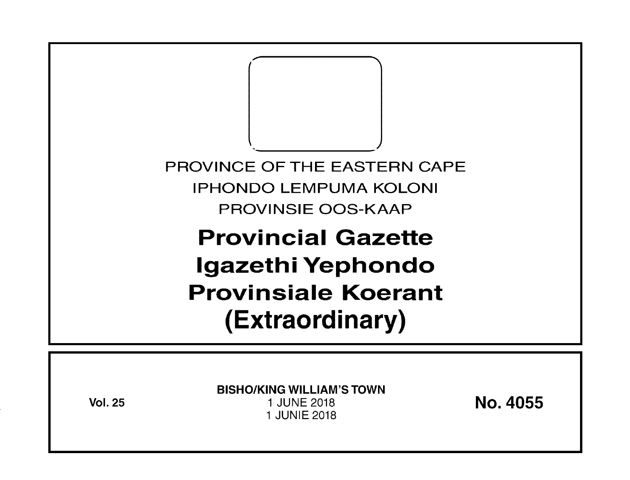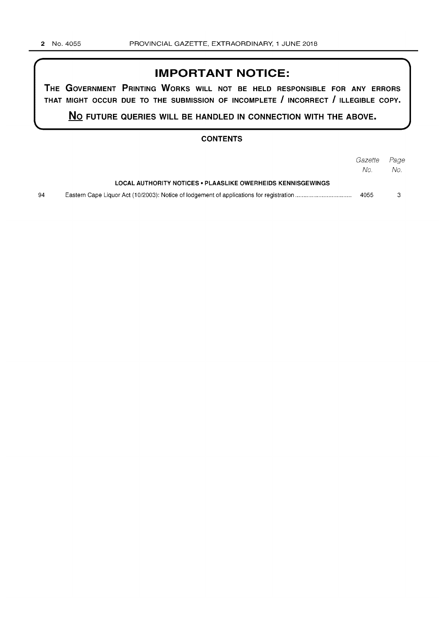### **IMPORTANT NOTICE:**

**THE GOVERNMENT PRINTING WORKS WILL NOT BE HELD RESPONSIBLE FOR ANY ERRORS THAT MIGHT OCCUR DUE TO THE SUBMISSION OF INCOMPLETE I INCORRECT I ILLEGIBLE COPY.** 

**No FUTURE QUERIES WILL BE HANDLED IN CONNECTION WITH THE ABOVE.** 

### **CONTENTS**

|    |                                                             | Gazette | Page |
|----|-------------------------------------------------------------|---------|------|
|    |                                                             | No.     | No.  |
|    | LOCAL AUTHORITY NOTICES . PLAASLIKE OWERHEIDS KENNISGEWINGS |         |      |
| 94 |                                                             | 4055    |      |